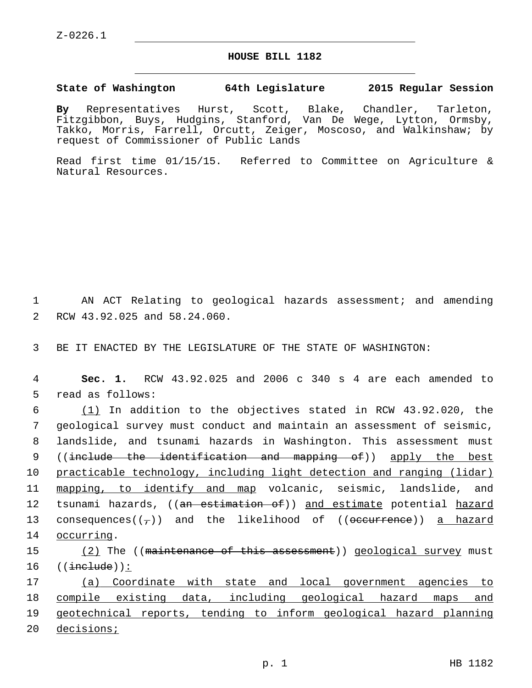## **HOUSE BILL 1182**

## **State of Washington 64th Legislature 2015 Regular Session**

**By** Representatives Hurst, Scott, Blake, Chandler, Tarleton, Fitzgibbon, Buys, Hudgins, Stanford, Van De Wege, Lytton, Ormsby, Takko, Morris, Farrell, Orcutt, Zeiger, Moscoso, and Walkinshaw; by request of Commissioner of Public Lands

Read first time 01/15/15. Referred to Committee on Agriculture & Natural Resources.

1 AN ACT Relating to geological hazards assessment; and amending 2 RCW 43.92.025 and 58.24.060.

3 BE IT ENACTED BY THE LEGISLATURE OF THE STATE OF WASHINGTON:

4 **Sec. 1.** RCW 43.92.025 and 2006 c 340 s 4 are each amended to 5 read as follows:

6  $(1)$  In addition to the objectives stated in RCW 43.92.020, the 7 geological survey must conduct and maintain an assessment of seismic, 8 landslide, and tsunami hazards in Washington. This assessment must 9 ((include the identification and mapping of)) apply the best 10 practicable technology, including light detection and ranging (lidar) 11 mapping, to identify and map volcanic, seismic, landslide, and 12 tsunami hazards, ((an estimation of)) and estimate potential hazard 13 consequences $((7))$  and the likelihood of  $((\text{occurrence}))$  a hazard 14 occurring.

15 (2) The ((maintenance of this assessment)) geological survey must  $16$   $((\text{include}))$ :

 (a) Coordinate with state and local government agencies to compile existing data, including geological hazard maps and geotechnical reports, tending to inform geological hazard planning decisions;